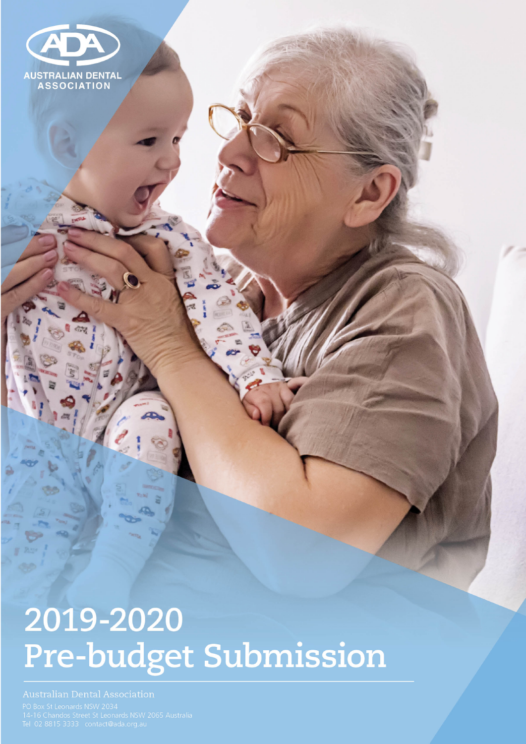

# 2019-2020 Pre-budget Submission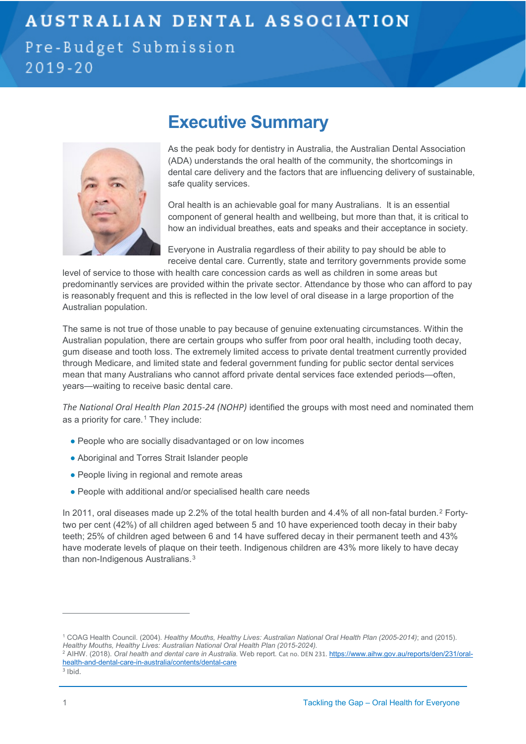Pre-Budget Submission  $2019 - 20$ 

## **Executive Summary**



As the peak body for dentistry in Australia, the Australian Dental Association (ADA) understands the oral health of the community, the shortcomings in dental care delivery and the factors that are influencing delivery of sustainable, safe quality services.

Oral health is an achievable goal for many Australians. It is an essential component of general health and wellbeing, but more than that, it is critical to how an individual breathes, eats and speaks and their acceptance in society.

Everyone in Australia regardless of their ability to pay should be able to receive dental care. Currently, state and territory governments provide some

level of service to those with health care concession cards as well as children in some areas but predominantly services are provided within the private sector. Attendance by those who can afford to pay is reasonably frequent and this is reflected in the low level of oral disease in a large proportion of the Australian population.

The same is not true of those unable to pay because of genuine extenuating circumstances. Within the Australian population, there are certain groups who suffer from poor oral health, including tooth decay, gum disease and tooth loss. The extremely limited access to private dental treatment currently provided through Medicare, and limited state and federal government funding for public sector dental services mean that many Australians who cannot afford private dental services face extended periods—often, years—waiting to receive basic dental care.

*The National Oral Health Plan 2015-24 (NOHP)* identified the groups with most need and nominated them as a priority for care.<sup>[1](#page-1-0)</sup> They include:

- People who are socially disadvantaged or on low incomes
- Aboriginal and Torres Strait Islander people
- People living in regional and remote areas
- People with additional and/or specialised health care needs

In [2](#page-1-1)011, oral diseases made up 2.2% of the total health burden and 4.4% of all non-fatal burden.<sup>2</sup> Fortytwo per cent (42%) of all children aged between 5 and 10 have experienced tooth decay in their baby teeth; 25% of children aged between 6 and 14 have suffered decay in their permanent teeth and 43% have moderate levels of plaque on their teeth. Indigenous children are 43% more likely to have decay than non-Indigenous Australians.[3](#page-1-2)

<span id="page-1-0"></span><sup>1</sup> COAG Health Council. (2004). *Healthy Mouths, Healthy Lives: Australian National Oral Health Plan (2005-2014)*; and (2015). *Healthy Mouths, Healthy Lives: Australian National Oral Health Plan (2015-2024).* 

<span id="page-1-1"></span><sup>&</sup>lt;sup>2</sup> AIHW. (2018). Oral health and dental care in Australia. Web report. Cat no. DEN 231. [https://www.aihw.gov.au/reports/den/231/oral](https://www.aihw.gov.au/reports/den/231/oral-health-and-dental-care-in-australia/contents/dental-care)[health-and-dental-care-in-australia/contents/dental-care](https://www.aihw.gov.au/reports/den/231/oral-health-and-dental-care-in-australia/contents/dental-care)

<span id="page-1-2"></span><sup>3</sup> Ibid.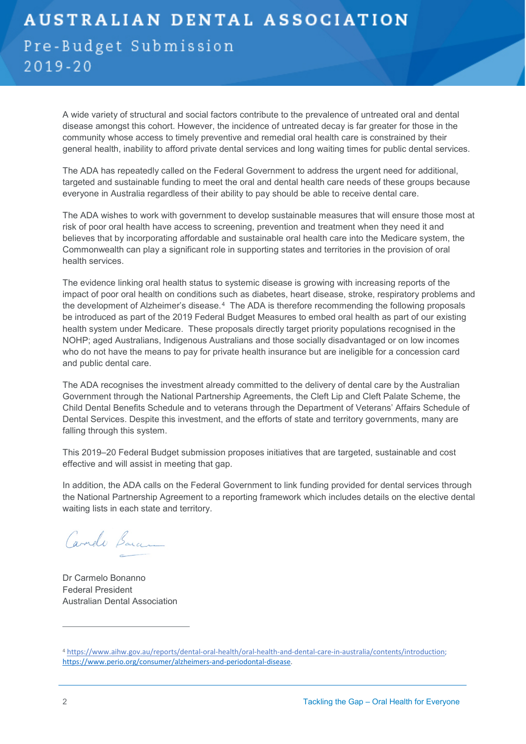### **AUSTRALIAN DENTAL ASSOCIATION** Pre-Budget Submission  $2019 - 20$

A wide variety of structural and social factors contribute to the prevalence of untreated oral and dental disease amongst this cohort. However, the incidence of untreated decay is far greater for those in the community whose access to timely preventive and remedial oral health care is constrained by their general health, inability to afford private dental services and long waiting times for public dental services.

The ADA has repeatedly called on the Federal Government to address the urgent need for additional, targeted and sustainable funding to meet the oral and dental health care needs of these groups because everyone in Australia regardless of their ability to pay should be able to receive dental care.

The ADA wishes to work with government to develop sustainable measures that will ensure those most at risk of poor oral health have access to screening, prevention and treatment when they need it and believes that by incorporating affordable and sustainable oral health care into the Medicare system, the Commonwealth can play a significant role in supporting states and territories in the provision of oral health services.

The evidence linking oral health status to systemic disease is growing with increasing reports of the impact of poor oral health on conditions such as diabetes, heart disease, stroke, respiratory problems and the development of Alzheimer's disease.[4](#page-2-0) The ADA is therefore recommending the following proposals be introduced as part of the 2019 Federal Budget Measures to embed oral health as part of our existing health system under Medicare. These proposals directly target priority populations recognised in the NOHP; aged Australians, Indigenous Australians and those socially disadvantaged or on low incomes who do not have the means to pay for private health insurance but are ineligible for a concession card and public dental care.

The ADA recognises the investment already committed to the delivery of dental care by the Australian Government through the National Partnership Agreements, the Cleft Lip and Cleft Palate Scheme, the Child Dental Benefits Schedule and to veterans through the Department of Veterans' Affairs Schedule of Dental Services. Despite this investment, and the efforts of state and territory governments, many are falling through this system.

This 2019–20 Federal Budget submission proposes initiatives that are targeted, sustainable and cost effective and will assist in meeting that gap.

In addition, the ADA calls on the Federal Government to link funding provided for dental services through the National Partnership Agreement to a reporting framework which includes details on the elective dental waiting lists in each state and territory.

Carrelo Barco

Dr Carmelo Bonanno Federal President Australian Dental Association

<span id="page-2-0"></span><sup>4</sup> [https://www.aihw.gov.au/reports/dental-oral-health/oral-health-and-dental-care-in-australia/contents/introduction;](https://www.aihw.gov.au/reports/dental-oral-health/oral-health-and-dental-care-in-australia/contents/introduction) [https://www.perio.org/consumer/alzheimers-and-periodontal-disease.](https://www.perio.org/consumer/alzheimers-and-periodontal-disease)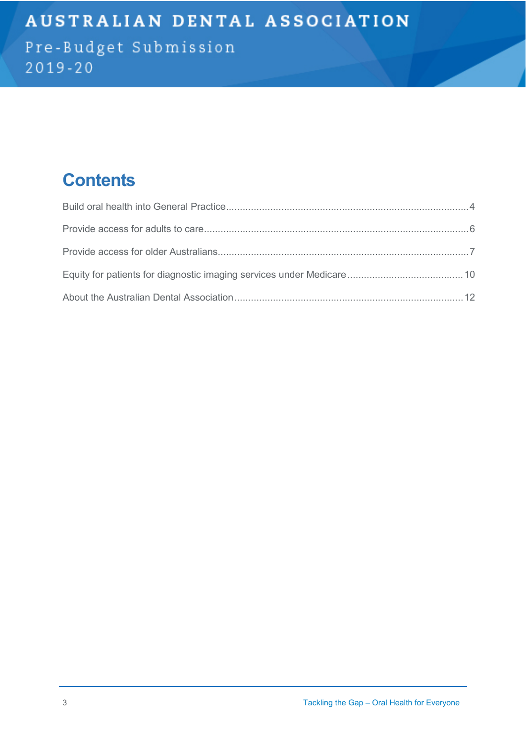Pre-Budget Submission  $2019 - 20$ 

## **Contents**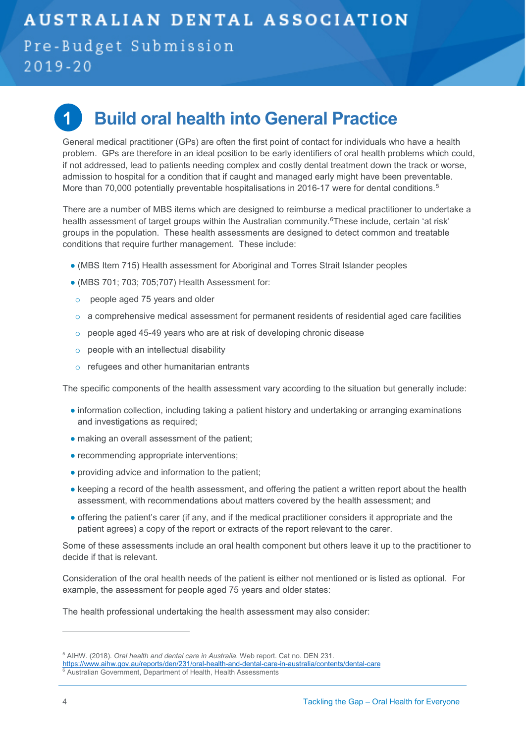#### Pre-Budget Submission  $2019 - 20$



## <span id="page-4-0"></span>**1 Build oral health into General Practice**

General medical practitioner (GPs) are often the first point of contact for individuals who have a health problem. GPs are therefore in an ideal position to be early identifiers of oral health problems which could, if not addressed, lead to patients needing complex and costly dental treatment down the track or worse, admission to hospital for a condition that if caught and managed early might have been preventable. More than 70,000 potentially preventable hospitalisations in 2016-17 were for dental conditions.<sup>[5](#page-4-1)</sup>

There are a number of MBS items which are designed to reimburse a medical practitioner to undertake a health assessment of target groups within the Australian community.<sup>[6](#page-4-2)</sup>These include, certain 'at risk' groups in the population. These health assessments are designed to detect common and treatable conditions that require further management. These include:

- (MBS Item 715) Health assessment for Aboriginal and Torres Strait Islander peoples
- $\bullet$  (MBS 701; 703; 705; 707) Health Assessment for:
- o people aged 75 years and older
- $\circ$  a comprehensive medical assessment for permanent residents of residential aged care facilities
- o people aged 45-49 years who are at risk of developing chronic disease
- o people with an intellectual disability
- o refugees and other humanitarian entrants

The specific components of the health assessment vary according to the situation but generally include:

- information collection, including taking a patient history and undertaking or arranging examinations and investigations as required;
- making an overall assessment of the patient;
- recommending appropriate interventions;
- providing advice and information to the patient;
- keeping a record of the health assessment, and offering the patient a written report about the health assessment, with recommendations about matters covered by the health assessment; and
- offering the patient's carer (if any, and if the medical practitioner considers it appropriate and the patient agrees) a copy of the report or extracts of the report relevant to the carer.

Some of these assessments include an oral health component but others leave it up to the practitioner to decide if that is relevant.

Consideration of the oral health needs of the patient is either not mentioned or is listed as optional. For example, the assessment for people aged 75 years and older states:

The health professional undertaking the health assessment may also consider:

<span id="page-4-1"></span><sup>5</sup> AIHW. (2018). *Oral health and dental care in Australia.* Web report. Cat no. DEN 231.

<https://www.aihw.gov.au/reports/den/231/oral-health-and-dental-care-in-australia/contents/dental-care>

<span id="page-4-2"></span><sup>6</sup> Australian Government, Department of Health, Health Assessments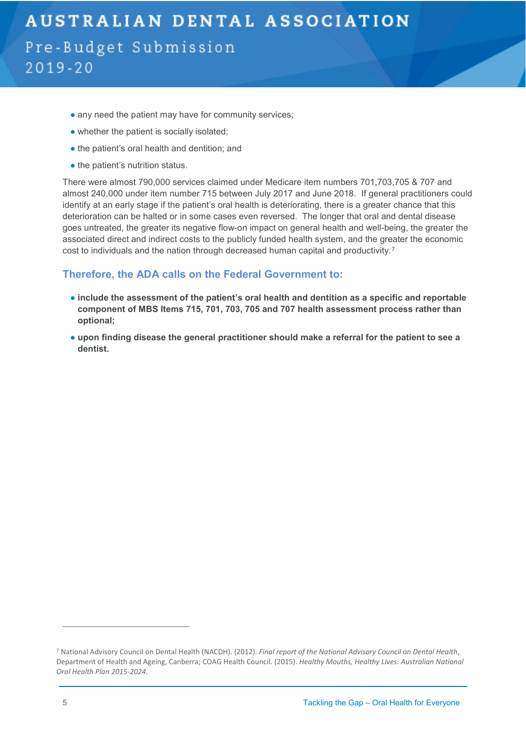### **AUSTRALIAN DENTAL ASSOCIATION** Pre-Budget Submission  $2019 - 20$

- any need the patient may have for community services;
- whether the patient is socially isolated;
- the patient's oral health and dentition; and
- the patient's nutrition status.

There were almost 790,000 services claimed under Medicare item numbers 701,703,705 & 707 and almost 240,000 under item number 715 between July 2017 and June 2018. If general practitioners could identify at an early stage if the patient's oral health is deteriorating, there is a greater chance that this deterioration can be halted or in some cases even reversed. The longer that oral and dental disease goes untreated, the greater its negative flow-on impact on general health and well-being, the greater the associated direct and indirect costs to the publicly funded health system, and the greater the economic cost to individuals and the nation through decreased human capital and productivity.[7](#page-5-0)

#### **Therefore, the ADA calls on the Federal Government to:**

- **include the assessment of the patient's oral health and dentition as a specific and reportable component of MBS Items 715, 701, 703, 705 and 707 health assessment process rather than optional;**
- **upon finding disease the general practitioner should make a referral for the patient to see a dentist.**

<span id="page-5-0"></span><sup>7</sup> National Advisory Council on Dental Health (NACDH). (2012). *Final report of the National Advisory Council on Dental Health*, Department of Health and Ageing, Canberra; COAG Health Council. (2015). *Healthy Mouths, Healthy Lives: Australian National Oral Health Plan 2015-2024.*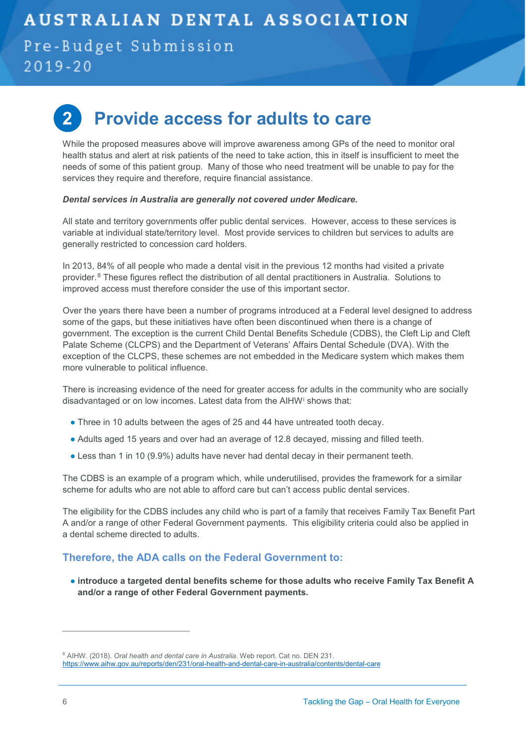Pre-Budget Submission  $2019 - 20$ 

## <span id="page-6-0"></span>**2 Provide access for adults to care**

While the proposed measures above will improve awareness among GPs of the need to monitor oral health status and alert at risk patients of the need to take action, this in itself is insufficient to meet the needs of some of this patient group. Many of those who need treatment will be unable to pay for the services they require and therefore, require financial assistance.

#### *Dental services in Australia are generally not covered under Medicare.*

All state and territory governments offer public dental services. However, access to these services is variable at individual state/territory level. Most provide services to children but services to adults are generally restricted to concession card holders.

In 2013, 84% of all people who made a dental visit in the previous 12 months had visited a private provider.[8](#page-6-2) These figures reflect the distribution of all dental practitioners in Australia. Solutions to improved access must therefore consider the use of this important sector.

Over the years there have been a number of programs introduced at a Federal level designed to address some of the gaps, but these initiatives have often been discontinued when there is a change of government. The exception is the current Child Dental Benefits Schedule (CDBS), the Cleft Lip and Cleft Palate Scheme (CLCPS) and the Department of Veterans' Affairs Dental Schedule (DVA). With the exception of the CLCPS, these schemes are not embedded in the Medicare system which makes them more vulnerable to political influence.

There is increasing evidence of the need for greater access for adults in the community who are socially disadvantaged or on low incomes. Latest data from the AIHW[i](#page-12-0) shows that:

- Three in 10 adults between the ages of 25 and 44 have untreated tooth decay.
- Adults aged 15 years and over had an average of 12.8 decayed, missing and filled teeth.
- Less than 1 in 10 (9.9%) adults have never had dental decay in their permanent teeth.

The CDBS is an example of a program which, while underutilised, provides the framework for a similar scheme for adults who are not able to afford care but can't access public dental services.

The eligibility for the CDBS includes any child who is part of a family that receives Family Tax Benefit Part A and/or a range of other Federal Government payments. This eligibility criteria could also be applied in a dental scheme directed to adults.

#### **Therefore, the ADA calls on the Federal Government to:**

<span id="page-6-1"></span>● **introduce a targeted dental benefits scheme for those adults who receive Family Tax Benefit A and/or a range of other Federal Government payments.** 

<span id="page-6-2"></span><sup>8</sup> AIHW. (2018). *Oral health and dental care in Australia.* Web report. Cat no. DEN 231. <https://www.aihw.gov.au/reports/den/231/oral-health-and-dental-care-in-australia/contents/dental-care>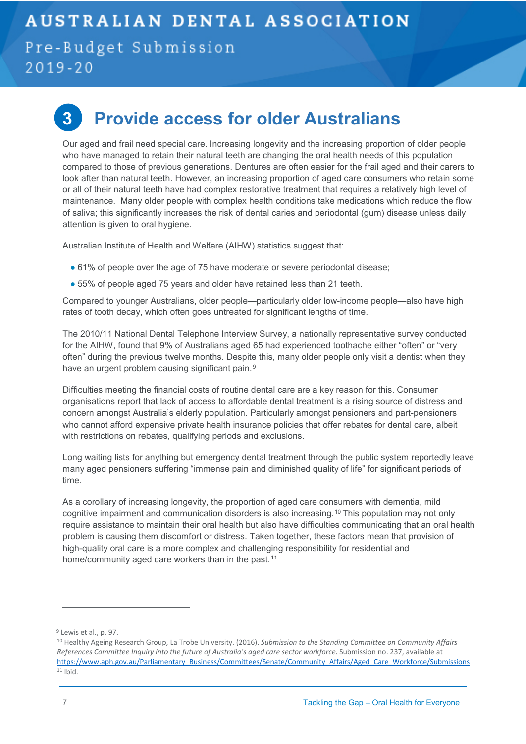#### Pre-Budget Submission  $2019 - 20$

**3 Provide access for older Australians**

Our aged and frail need special care. Increasing longevity and the increasing proportion of older people who have managed to retain their natural teeth are changing the oral health needs of this population compared to those of previous generations. Dentures are often easier for the frail aged and their carers to look after than natural teeth. However, an increasing proportion of aged care consumers who retain some or all of their natural teeth have had complex restorative treatment that requires a relatively high level of maintenance. Many older people with complex health conditions take medications which reduce the flow of saliva; this significantly increases the risk of dental caries and periodontal (gum) disease unless daily attention is given to oral hygiene.

Australian Institute of Health and Welfare (AIHW) statistics suggest that:

- 61% of people over the age of 75 have moderate or severe periodontal disease;
- 55% of people aged 75 years and older have retained less than 21 teeth.

Compared to younger Australians, older people—particularly older low-income people—also have high rates of tooth decay, which often goes untreated for significant lengths of time.

The 2010/11 National Dental Telephone Interview Survey, a nationally representative survey conducted for the AIHW, found that 9% of Australians aged 65 had experienced toothache either "often" or "very often" during the previous twelve months. Despite this, many older people only visit a dentist when they have an urgent problem causing significant pain.<sup>9</sup>

Difficulties meeting the financial costs of routine dental care are a key reason for this. Consumer organisations report that lack of access to affordable dental treatment is a rising source of distress and concern amongst Australia's elderly population. Particularly amongst pensioners and part-pensioners who cannot afford expensive private health insurance policies that offer rebates for dental care, albeit with restrictions on rebates, qualifying periods and exclusions.

Long waiting lists for anything but emergency dental treatment through the public system reportedly leave many aged pensioners suffering "immense pain and diminished quality of life" for significant periods of time.

As a corollary of increasing longevity, the proportion of aged care consumers with dementia, mild cognitive impairment and communication disorders is also increasing.[10](#page-7-1) This population may not only require assistance to maintain their oral health but also have difficulties communicating that an oral health problem is causing them discomfort or distress. Taken together, these factors mean that provision of high-quality oral care is a more complex and challenging responsibility for residential and home/community aged care workers than in the past.<sup>[11](#page-7-2)</sup>

<span id="page-7-0"></span><sup>9</sup> Lewis et al., p. 97.

<span id="page-7-2"></span><span id="page-7-1"></span><sup>10</sup> Healthy Ageing Research Group, La Trobe University. (2016). *Submission to the Standing Committee on Community Affairs References Committee Inquiry into the future of Australia's aged care sector workforce*. Submission no. 237, available at [https://www.aph.gov.au/Parliamentary\\_Business/Committees/Senate/Community\\_Affairs/Aged\\_Care\\_Workforce/Submissions](https://www.aph.gov.au/Parliamentary_Business/Committees/Senate/Community_Affairs/Aged_Care_Workforce/Submissions) <sup>11</sup> Ibid.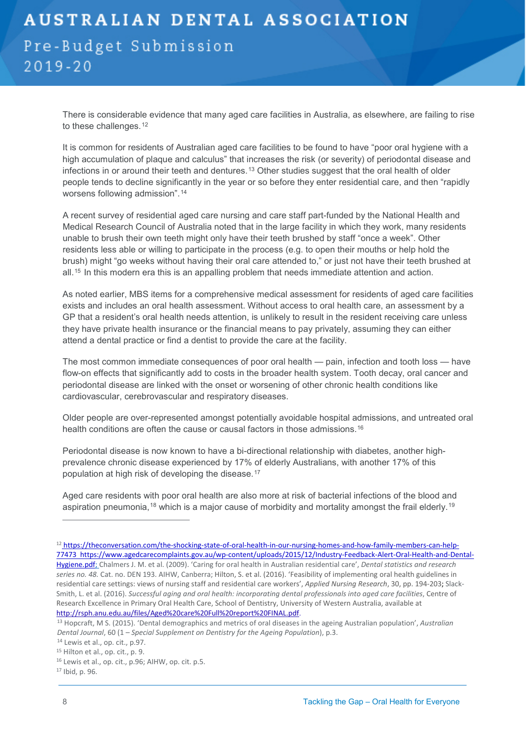### **AUSTRALIAN DENTAL ASSOCIATION** Pre-Budget Submission  $2019 - 20$

There is considerable evidence that many aged care facilities in Australia, as elsewhere, are failing to rise to these challenges.<sup>[12](#page-8-0)</sup>

It is common for residents of Australian aged care facilities to be found to have "poor oral hygiene with a high accumulation of plaque and calculus" that increases the risk (or severity) of periodontal disease and infections in or around their teeth and dentures.<sup>[13](#page-8-1)</sup> Other studies suggest that the oral health of older people tends to decline significantly in the year or so before they enter residential care, and then "rapidly worsens following admission".[14](#page-8-2)

A recent survey of residential aged care nursing and care staff part-funded by the National Health and Medical Research Council of Australia noted that in the large facility in which they work, many residents unable to brush their own teeth might only have their teeth brushed by staff "once a week". Other residents less able or willing to participate in the process (e.g. to open their mouths or help hold the brush) might "go weeks without having their oral care attended to," or just not have their teeth brushed at all.<sup>[15](#page-8-3)</sup> In this modern era this is an appalling problem that needs immediate attention and action.

As noted earlier, MBS items for a comprehensive medical assessment for residents of aged care facilities exists and includes an oral health assessment. Without access to oral health care, an assessment by a GP that a resident's oral health needs attention, is unlikely to result in the resident receiving care unless they have private health insurance or the financial means to pay privately, assuming they can either attend a dental practice or find a dentist to provide the care at the facility.

The most common immediate consequences of poor oral health — pain, infection and tooth loss — have flow-on effects that significantly add to costs in the broader health system. Tooth decay, oral cancer and periodontal disease are linked with the onset or worsening of other chronic health conditions like cardiovascular, cerebrovascular and respiratory diseases.

Older people are over-represented amongst potentially avoidable hospital admissions, and untreated oral health conditions are often the cause or causal factors in those admissions.<sup>[16](#page-8-4)</sup>

Periodontal disease is now known to have a bi-directional relationship with diabetes, another highprevalence chronic disease experienced by 17% of elderly Australians, with another 17% of this population at high risk of developing the disease.[17](#page-8-5)

Aged care residents with poor oral health are also more at risk of bacterial infections of the blood and aspiration pneumonia,[18](#page-8-6) which is a major cause of morbidity and mortality amongst the frail elderly.[19](#page-8-7)

<span id="page-8-0"></span><sup>12</sup> https://theconversation.com/the-shocking-state-of-oral-health-in-our-nursing-homes-and-how-family-members-can-help-77473 [https://www.agedcarecomplaints.gov.au/wp-content/uploads/2015/12/Industry-Feedback-Alert-Oral-Health-and-Dental-](https://www.agedcarecomplaints.gov.au/wp-content/uploads/2015/12/Industry-Feedback-Alert-Oral-Health-and-Dental-Hygiene.pdf)[Hygiene.pdf;](https://www.agedcarecomplaints.gov.au/wp-content/uploads/2015/12/Industry-Feedback-Alert-Oral-Health-and-Dental-Hygiene.pdf) Chalmers J. M. et al. (2009). 'Caring for oral health in Australian residential care', *Dental statistics and research series no. 48.* Cat. no. DEN 193. AIHW, Canberra; Hilton, S. et al. (2016). 'Feasibility of implementing oral health guidelines in residential care settings: views of nursing staff and residential care workers', *Applied Nursing Research*, 30, pp. 194-203; Slack-Smith, L. et al. (2016). *Successful aging and oral health: incorporating dental professionals into aged care facilities*, Centre of Research Excellence in Primary Oral Health Care, School of Dentistry, University of Western Australia, available at <http://rsph.anu.edu.au/files/Aged%20care%20Full%20report%20FINAL.pdf>.

<span id="page-8-1"></span><sup>13</sup> Hopcraft, M S. (2015). 'Dental demographics and metrics of oral diseases in the ageing Australian population', *Australian Dental Journal*, 60 (1 – *Special Supplement on Dentistry for the Ageing Population*), p.3. 14 Lewis et al., op. cit., p.97.

<span id="page-8-2"></span>

<span id="page-8-6"></span><span id="page-8-3"></span><sup>15</sup> Hilton et al., op. cit., p. 9.

<span id="page-8-7"></span><span id="page-8-4"></span><sup>16</sup> Lewis et al., op. cit., p.96; AIHW, op. cit. p.5.

<span id="page-8-5"></span><sup>17</sup> Ibid, p. 96.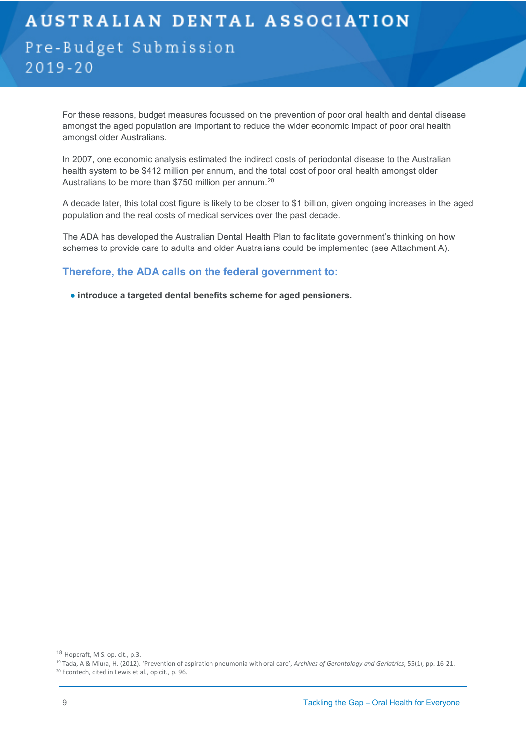For these reasons, budget measures focussed on the prevention of poor oral health and dental disease amongst the aged population are important to reduce the wider economic impact of poor oral health amongst older Australians.

In 2007, one economic analysis estimated the indirect costs of periodontal disease to the Australian health system to be \$412 million per annum, and the total cost of poor oral health amongst older Australians to be more than \$750 million per annum.<sup>[20](#page-9-1)</sup>

A decade later, this total cost figure is likely to be closer to \$1 billion, given ongoing increases in the aged population and the real costs of medical services over the past decade.

The ADA has developed the Australian Dental Health Plan to facilitate government's thinking on how schemes to provide care to adults and older Australians could be implemented (see Attachment A).

#### **Therefore, the ADA calls on the federal government to:**

<span id="page-9-0"></span>● **introduce a targeted dental benefits scheme for aged pensioners.**

<sup>&</sup>lt;sup>18</sup> Hopcraft, M S. op. cit., p.3.<br><sup>19</sup> Tada, A & Miura, H. (2012). 'Prevention of aspiration pneumonia with oral care', *Archives of Gerontology and Geriatrics*, 55(1), pp. 16-21.

<span id="page-9-1"></span><sup>20</sup> Econtech, cited in Lewis et al., op cit., p. 96.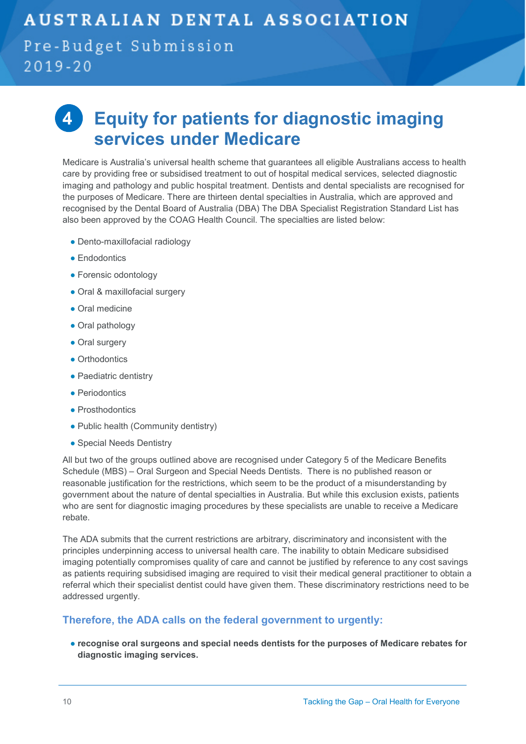#### Pre-Budget Submission  $2019 - 20$

## **4 Equity for patients for diagnostic imaging services under Medicare**

Medicare is Australia's universal health scheme that guarantees all eligible Australians access to health care by providing free or subsidised treatment to out of hospital medical services, selected diagnostic imaging and pathology and public hospital treatment. Dentists and dental specialists are recognised for the purposes of Medicare. There are thirteen dental specialties in Australia, which are approved and recognised by the Dental Board of Australia (DBA) The DBA Specialist Registration Standard List has also been approved by the COAG Health Council. The specialties are listed below:

- Dento-maxillofacial radiology
- Endodontics
- Forensic odontology
- Oral & maxillofacial surgery
- Oral medicine
- Oral pathology
- Oral surgery
- Orthodontics
- Paediatric dentistry
- Periodontics
- Prosthodontics
- Public health (Community dentistry)
- Special Needs Dentistry

All but two of the groups outlined above are recognised under Category 5 of the Medicare Benefits Schedule (MBS) – Oral Surgeon and Special Needs Dentists. There is no published reason or reasonable justification for the restrictions, which seem to be the product of a misunderstanding by government about the nature of dental specialties in Australia. But while this exclusion exists, patients who are sent for diagnostic imaging procedures by these specialists are unable to receive a Medicare rebate.

The ADA submits that the current restrictions are arbitrary, discriminatory and inconsistent with the principles underpinning access to universal health care. The inability to obtain Medicare subsidised imaging potentially compromises quality of care and cannot be justified by reference to any cost savings as patients requiring subsidised imaging are required to visit their medical general practitioner to obtain a referral which their specialist dentist could have given them. These discriminatory restrictions need to be addressed urgently.

#### **Therefore, the ADA calls on the federal government to urgently:**

● **recognise oral surgeons and special needs dentists for the purposes of Medicare rebates for diagnostic imaging services.**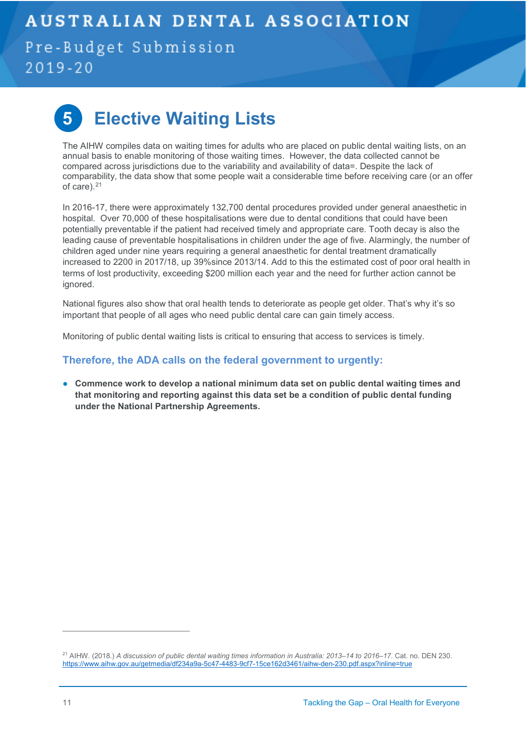Pre-Budget Submission  $2019 - 20$ 



## **5 Elective Waiting Lists**

The AIHW compiles data on waiting times for adults who are placed on public dental waiting lists, on an annual basis to enable monitoring of those waiting times. However, the data collected cannot be compared across jurisdictions due to the variability and availability of data=. Despite the lack of comparability, the data show that some people wait a considerable time before receiving care (or an offer of care).<sup>[21](#page-11-1)</sup>

In 2016-17, there were approximately 132,700 dental procedures provided under general anaesthetic in hospital. Over 70,000 of these hospitalisations were due to dental conditions that could have been potentially preventable if the patient had received timely and appropriate care. Tooth decay is also the leading cause of preventable hospitalisations in children under the age of five. Alarmingly, the number of children aged under nine years requiring a general anaesthetic for dental treatment dramatically increased to 2200 in 2017/18, up 39%since 2013/14. Add to this the estimated cost of poor oral health in terms of lost productivity, exceeding \$200 million each year and the need for further action cannot be ignored.

National figures also show that oral health tends to deteriorate as people get older. That's why it's so important that people of all ages who need public dental care can gain timely access.

Monitoring of public dental waiting lists is critical to ensuring that access to services is timely.

#### **Therefore, the ADA calls on the federal government to urgently:**

<span id="page-11-0"></span>● **Commence work to develop a national minimum data set on public dental waiting times and that monitoring and reporting against this data set be a condition of public dental funding under the National Partnership Agreements.**

<span id="page-11-1"></span><sup>21</sup> AIHW. (2018.) *A discussion of public dental waiting times information in Australia: 2013–14 to 2016–17*. Cat. no. DEN 230. <https://www.aihw.gov.au/getmedia/df234a9a-5c47-4483-9cf7-15ce162d3461/aihw-den-230.pdf.aspx?inline=true>